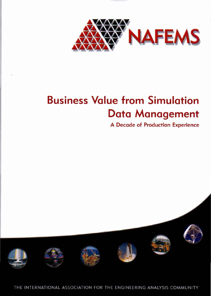

# **Business Value from Simulation Data Management**

A Decode of Production Experience



THE INTERNATIONAL ASSOCIATION FOR THE ENGINEERING ANALYSIS COMMUNITY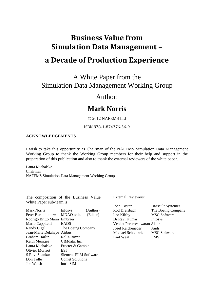# **Business Value from Simulation Data Management –**

# **a Decade of Production Experience**

# A White Paper from the Simulation Data Management Working Group

Author:

### **Mark Norris**

© 2012 NAFEMS Ltd

ISBN 978-1-874376-56-9

#### **ACKNOWLEDGEMENTS**

I wish to take this opportunity as Chairman of the NAFEMS Simulation Data Management Working Group to thank the Working Group members for their help and support in the preparation of this publication and also to thank the external reviewers of the white paper.

Laura Michalske Chairman NAFEMS Simulation Data Management Working Group

The composition of the Business Value White Paper sub-team is:

| Mark Norris                  | Infosys                     | (Author) |
|------------------------------|-----------------------------|----------|
| Peter Bartholomew            | MDAO tech.                  | (Editor) |
| Rodrigo Britto Maria Embraer |                             |          |
| Mario Cappitelli             | <b>EADS</b>                 |          |
| Randy Cigel                  | The Boeing Company          |          |
| Jean-Marie Delahaye          | Airbus                      |          |
| Graham Harlin                | Rolls-Royce                 |          |
| Keith Meintjes               | CIMdata, Inc.               |          |
| Laura Michalske              | Procter & Gamble            |          |
| Olivier Morisot              | ESI                         |          |
| S Ravi Shankar               | <b>Siemens PLM Software</b> |          |
| Don Tolle                    | <b>Comet Solutions</b>      |          |
| Joe Walsh                    | intrinSIM                   |          |
|                              |                             |          |

External Reviewers:

| John Coster                 | <b>Dassault Systemes</b> |
|-----------------------------|--------------------------|
|                             |                          |
| Rod Dreisbach               | The Boeing Company       |
| Leo Kilfoy                  | <b>MSC Software</b>      |
| Dr Ravi Kumar               | <b>Infosys</b>           |
| Venkat Parameshwaran Altair |                          |
| Josef Reicheneder           | Audi                     |
| Michael Schlenkrich         | <b>MSC Software</b>      |
| Paul Weal                   | LMS                      |
|                             |                          |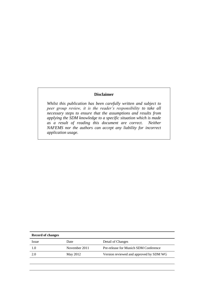#### **Disclaimer**

*Whilst this publication has been carefully written and subject to peer group review, it is the reader's responsibility to take all necessary steps to ensure that the assumptions and results from applying the SDM knowledge to a specific situation which is made as a result of reading this document are correct. Neither NAFEMS nor the authors can accept any liability for incorrect application usage.*

| <b>Record of changes</b> |               |                                         |
|--------------------------|---------------|-----------------------------------------|
| Issue                    | Date          | Detail of Changes                       |
| 1.0                      | November 2011 | Pre-release for Munich SDM Conference   |
| 2.0                      | May 2012      | Version reviewed and approved by SDM WG |
|                          |               |                                         |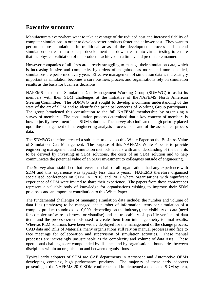### **Executive summary**

Manufacturers everywhere want to take advantage of the reduced cost and increased fidelity of computer simulations in order to develop better products faster and at lower cost. They want to perform more simulations in traditional areas of the development process and extend simulation upstream into concept development and downstream into virtual testing to ensure that the physical validation of the product is achieved in a timely and predictable manner.

However companies of all sizes are already struggling to manage their simulation data, which is increasing in size and complexity by orders of magnitude as more, and more detailed, simulations are performed every year. Effective management of simulation data is increasingly important as simulation becomes a core business process and organisations rely on simulation results as the basis for business decisions.

NAFEMS set up the Simulation Data Management Working Group (SDMWG) to assist its members with their SDM challenges at the initiative of the NAFEMS North American Steering Committee. The SDMWG first sought to develop a common understanding of the state of the art of SDM and to identify the principal concerns of Working Group participants. The group broadened this consultation to the full NAFEMS membership by organizing a survey of members. The consultation process determined that a key concern of members is how to justify investment in an SDM solution. The survey also indicated a high priority placed upon the management of the engineering analysis process itself and of the associated process data.

The SDMWG therefore created a sub-team to develop this White Paper on the Business Value of Simulation Data Management. The purpose of this NAFEMS White Paper is to provide engineering management and simulation methods leaders with an understanding of the benefits to be derived by investing in SDM solutions, the costs of an SDM solution and to help communicate the potential value of an SDM investment to colleagues outside of engineering.

The Survey also established that fewer than half of all organisations had any experience with SDM and this experience was typically less than 5 years. NAFEMS therefore organised specialised conferences on SDM in 2010 and 2011 where organisations with significant experience of SDM were invited to share their experience. The papers from these conferences represent a valuable body of knowledge for organisations wishing to improve their SDM processes and an important contribution to this White Paper.

The fundamental challenges of managing simulation data include: the number and volume of data files (terabytes) to be managed, the number of information items per simulation of a complex product (hundreds to 10,000s depending on the industry), the visibility of data (need for complex software to browse or visualise) and the traceability of specific versions of data items and the processes/methods used to create them from initial geometry to final results. Whereas PLM solutions have been widely deployed for the management of the change process, CAD data and Bills of Materials, many organisations still rely on manual processes and face to face meetings for collaboration and supervision of simulation activities. These manual processes are increasingly unsustainable as the complexity and volume of data rises. These operational challenges are compounded by distance and by organisational boundaries between disciplines within an organisation and between organisations.

Typical early adopters of SDM are CAE departments in Aerospace and Automotive OEMs developing complex, high performance products. The majority of these early adopters presenting at the NAFEMS 2010 SDM conference had implemented a dedicated SDM system,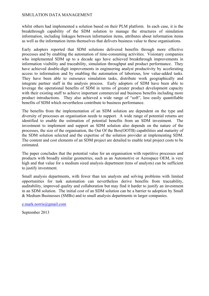#### SIMULATION DATA MANAGEMENT

whilst others had implemented a solution based on their PLM platform. In each case, it is the breakthrough capability of the SDM solution to manage the structures of simulation information, including linkages between information items, attributes about information items as well as the information items themselves that delivers business value to these organisations.

Early adopters reported that SDM solutions delivered benefits through more effective processes and by enabling the automation of time-consuming activities. Visionary companies who implemented SDM up to a decade ago have achieved breakthrough improvements in information visibility and traceability, simulation throughput and product performance. They have achieved double-digit improvements in engineering analyst productivity by accelerating access to information and by enabling the automation of laborious, low value-added tasks. They have been able to outsource simulation tasks, distribute work geographically and integrate partner staff in the analysis process. Early adopters of SDM have been able to leverage the operational benefits of SDM in terms of greater product development capacity with their existing staff to achieve important commercial and business benefits including more product introductions. They also achieved a wide range of "soft", less easily quantifiable benefits of SDM which nevertheless contribute to business performance.

The benefits from the implementation of an SDM solution are dependent on the type and diversity of processes an organisation needs to support. A wide range of potential returns are identified to enable the estimation of potential benefits from an SDM investment. The investment to implement and support an SDM solution also depends on the nature of the processes, the size of the organisation, the Out Of the Box(OOTB) capabilities and maturity of the SDM solution selected and the expertise of the solution provider at implementing SDM. The content and cost elements of an SDM project are detailed to enable total project costs to be estimated.

The paper concludes that the potential value for an organisation with repetitive processes and products with broadly similar geometries, such as an Automotive or Aerospace OEM, is very high and that value for a medium sized analysis department (tens of analysts) can be sufficient to justify investment.

Small analysis departments, with fewer than ten analysts and solving problems with limited opportunities for task automation can nevertheless derive benefits from traceability, auditability, improved quality and collaboration but may find it harder to justify an investment in an SDM solution. The initial cost of an SDM solution can be a barrier to adoption by Small & Medium Businesses (SMBs) and to small analysis departments in larger companies.

[e.mark.norris@gmail.com](mailto:em_norris@infosys.com)

September 2013